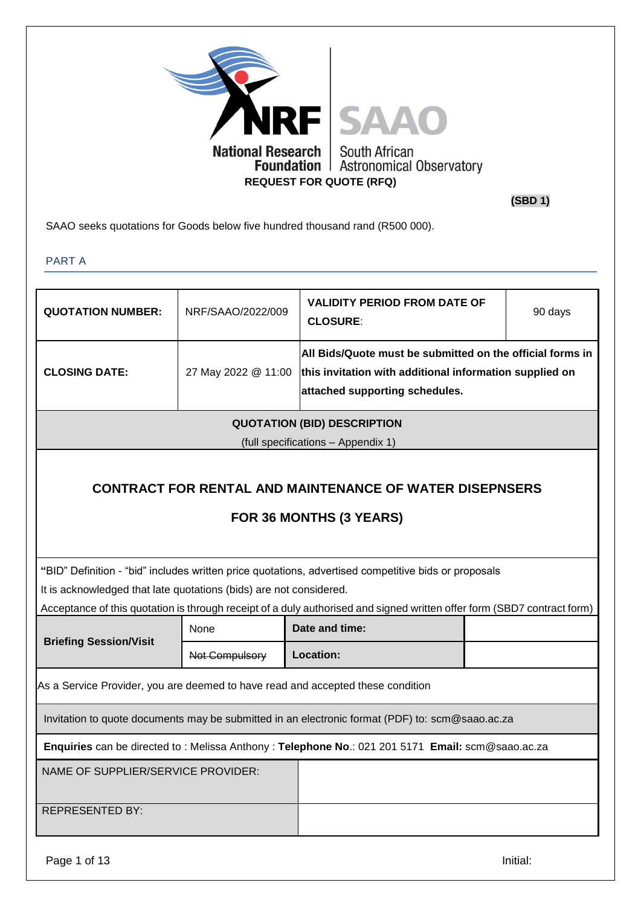

**(SBD 1)**

SAAO seeks quotations for Goods below five hundred thousand rand (R500 000).

PART A

| <b>QUOTATION NUMBER:</b>                                                                         | NRF/SAAO/2022/009   | <b>VALIDITY PERIOD FROM DATE OF</b><br><b>CLOSURE:</b>                                                                                                 | 90 days |  |  |
|--------------------------------------------------------------------------------------------------|---------------------|--------------------------------------------------------------------------------------------------------------------------------------------------------|---------|--|--|
| <b>CLOSING DATE:</b>                                                                             | 27 May 2022 @ 11:00 | All Bids/Quote must be submitted on the official forms in<br>this invitation with additional information supplied on<br>attached supporting schedules. |         |  |  |
|                                                                                                  |                     | <b>QUOTATION (BID) DESCRIPTION</b>                                                                                                                     |         |  |  |
|                                                                                                  |                     | (full specifications - Appendix 1)                                                                                                                     |         |  |  |
| <b>CONTRACT FOR RENTAL AND MAINTENANCE OF WATER DISEPNSERS</b><br>FOR 36 MONTHS (3 YEARS)        |                     |                                                                                                                                                        |         |  |  |
| It is acknowledged that late quotations (bids) are not considered.                               |                     | "BID" Definition - "bid" includes written price quotations, advertised competitive bids or proposals                                                   |         |  |  |
|                                                                                                  |                     | Acceptance of this quotation is through receipt of a duly authorised and signed written offer form (SBD7 contract form)                                |         |  |  |
|                                                                                                  | None                | Date and time:                                                                                                                                         |         |  |  |
| <b>Briefing Session/Visit</b>                                                                    | Not Compulsory      | Location:                                                                                                                                              |         |  |  |
| As a Service Provider, you are deemed to have read and accepted these condition                  |                     |                                                                                                                                                        |         |  |  |
| Invitation to quote documents may be submitted in an electronic format (PDF) to: scm@saao.ac.za  |                     |                                                                                                                                                        |         |  |  |
| Enquiries can be directed to: Melissa Anthony: Telephone No.: 021 201 5171 Email: scm@saao.ac.za |                     |                                                                                                                                                        |         |  |  |
| NAME OF SUPPLIER/SERVICE PROVIDER:                                                               |                     |                                                                                                                                                        |         |  |  |
| <b>REPRESENTED BY:</b>                                                                           |                     |                                                                                                                                                        |         |  |  |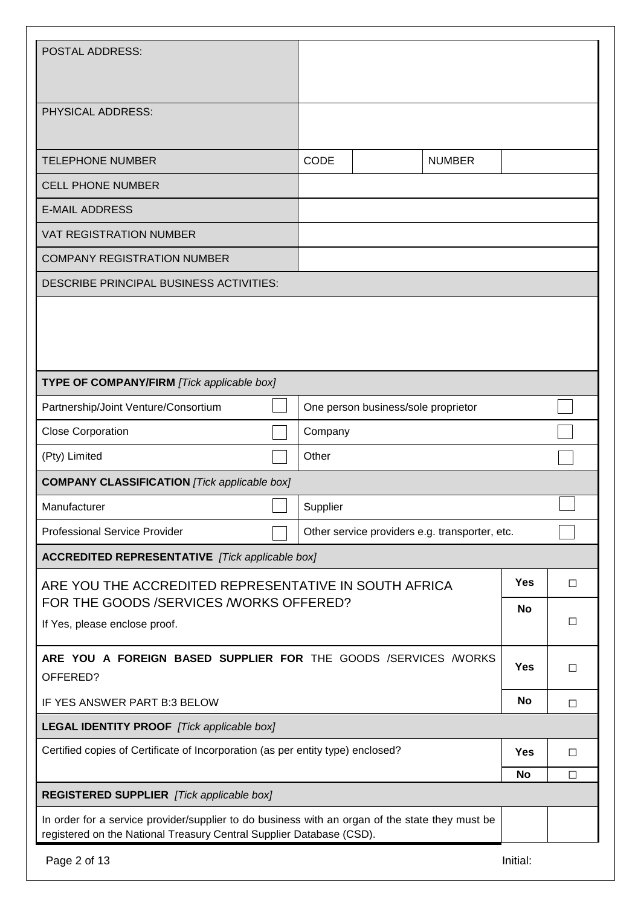| <b>POSTAL ADDRESS:</b>                                                                                                                                                  |          |             |                                     |               |          |        |
|-------------------------------------------------------------------------------------------------------------------------------------------------------------------------|----------|-------------|-------------------------------------|---------------|----------|--------|
|                                                                                                                                                                         |          |             |                                     |               |          |        |
| PHYSICAL ADDRESS:                                                                                                                                                       |          |             |                                     |               |          |        |
| <b>TELEPHONE NUMBER</b>                                                                                                                                                 |          | <b>CODE</b> |                                     | <b>NUMBER</b> |          |        |
| <b>CELL PHONE NUMBER</b>                                                                                                                                                |          |             |                                     |               |          |        |
| <b>E-MAIL ADDRESS</b>                                                                                                                                                   |          |             |                                     |               |          |        |
| <b>VAT REGISTRATION NUMBER</b>                                                                                                                                          |          |             |                                     |               |          |        |
| <b>COMPANY REGISTRATION NUMBER</b>                                                                                                                                      |          |             |                                     |               |          |        |
| <b>DESCRIBE PRINCIPAL BUSINESS ACTIVITIES:</b>                                                                                                                          |          |             |                                     |               |          |        |
|                                                                                                                                                                         |          |             |                                     |               |          |        |
| TYPE OF COMPANY/FIRM [Tick applicable box]                                                                                                                              |          |             |                                     |               |          |        |
| Partnership/Joint Venture/Consortium                                                                                                                                    |          |             | One person business/sole proprietor |               |          |        |
| <b>Close Corporation</b>                                                                                                                                                |          | Company     |                                     |               |          |        |
| (Pty) Limited                                                                                                                                                           | Other    |             |                                     |               |          |        |
| <b>COMPANY CLASSIFICATION</b> [Tick applicable box]                                                                                                                     |          |             |                                     |               |          |        |
| Manufacturer                                                                                                                                                            | Supplier |             |                                     |               |          |        |
| <b>Professional Service Provider</b><br>Other service providers e.g. transporter, etc.                                                                                  |          |             |                                     |               |          |        |
| <b>ACCREDITED REPRESENTATIVE</b> [Tick applicable box]                                                                                                                  |          |             |                                     |               |          |        |
| ARE YOU THE ACCREDITED REPRESENTATIVE IN SOUTH AFRICA                                                                                                                   |          |             |                                     |               | Yes      | □      |
| FOR THE GOODS /SERVICES /WORKS OFFERED?                                                                                                                                 |          |             |                                     |               | No       |        |
| If Yes, please enclose proof.                                                                                                                                           |          |             |                                     |               |          | □      |
| ARE YOU A FOREIGN BASED SUPPLIER FOR THE GOODS /SERVICES /WORKS<br>Yes<br>$\Box$<br>OFFERED?                                                                            |          |             |                                     |               |          |        |
| No<br>IF YES ANSWER PART B:3 BELOW                                                                                                                                      |          |             |                                     | □             |          |        |
| <b>LEGAL IDENTITY PROOF</b> [Tick applicable box]                                                                                                                       |          |             |                                     |               |          |        |
| Certified copies of Certificate of Incorporation (as per entity type) enclosed?                                                                                         |          |             |                                     |               | Yes      | $\Box$ |
|                                                                                                                                                                         |          |             | <b>No</b>                           | □             |          |        |
| <b>REGISTERED SUPPLIER</b> [Tick applicable box]                                                                                                                        |          |             |                                     |               |          |        |
| In order for a service provider/supplier to do business with an organ of the state they must be<br>registered on the National Treasury Central Supplier Database (CSD). |          |             |                                     |               |          |        |
| Page 2 of 13                                                                                                                                                            |          |             |                                     |               | Initial: |        |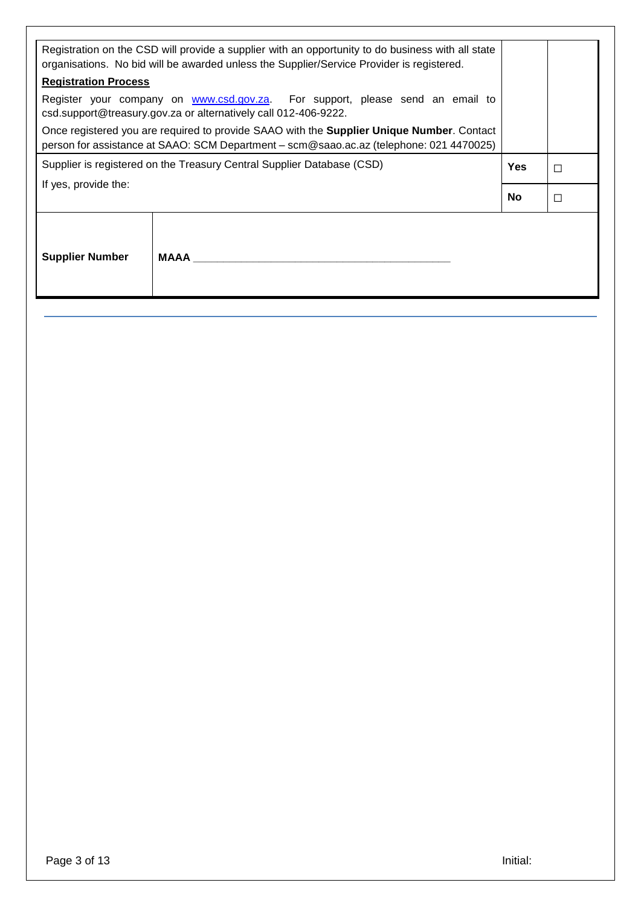| Registration on the CSD will provide a supplier with an opportunity to do business with all state<br>organisations. No bid will be awarded unless the Supplier/Service Provider is registered. |    |        |  |  |
|------------------------------------------------------------------------------------------------------------------------------------------------------------------------------------------------|----|--------|--|--|
| <b>Registration Process</b>                                                                                                                                                                    |    |        |  |  |
| Register your company on www.csd.gov.za. For support, please send an email to<br>csd.support@treasury.gov.za or alternatively call 012-406-9222.                                               |    |        |  |  |
| Once registered you are required to provide SAAO with the Supplier Unique Number. Contact<br>person for assistance at SAAO: SCM Department - scm@saao.ac.az (telephone: 021 4470025)           |    |        |  |  |
| Supplier is registered on the Treasury Central Supplier Database (CSD)<br><b>Yes</b><br>П                                                                                                      |    |        |  |  |
| If yes, provide the:                                                                                                                                                                           |    |        |  |  |
|                                                                                                                                                                                                | No | $\Box$ |  |  |
| <b>Supplier Number</b><br>MAAA                                                                                                                                                                 |    |        |  |  |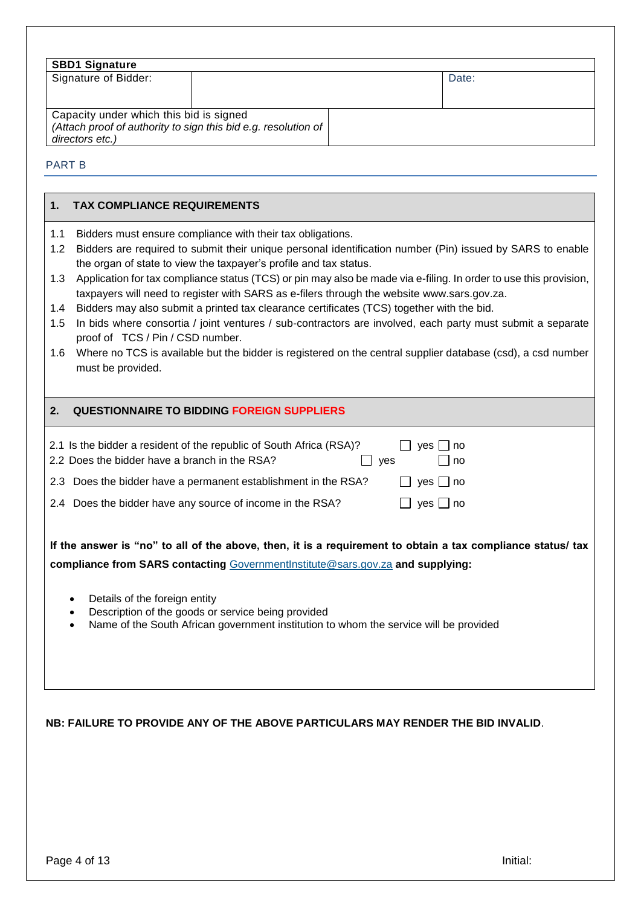| <b>SBD1 Signature</b>                                                                                                        |  |       |
|------------------------------------------------------------------------------------------------------------------------------|--|-------|
| Signature of Bidder:                                                                                                         |  | Date: |
| Capacity under which this bid is signed<br>(Attach proof of authority to sign this bid e.g. resolution of<br>directors etc.) |  |       |

#### PART B

#### **1. TAX COMPLIANCE REQUIREMENTS**

- 1.1 Bidders must ensure compliance with their tax obligations.
- 1.2 Bidders are required to submit their unique personal identification number (Pin) issued by SARS to enable the organ of state to view the taxpayer's profile and tax status.
- 1.3 Application for tax compliance status (TCS) or pin may also be made via e-filing. In order to use this provision, taxpayers will need to register with SARS as e-filers through the website [www.sars.gov.za.](http://www.sars.gov.za/)
- 1.4 Bidders may also submit a printed tax clearance certificates (TCS) together with the bid.
- 1.5 In bids where consortia / joint ventures / sub-contractors are involved, each party must submit a separate proof of TCS / Pin / CSD number.
- 1.6 Where no TCS is available but the bidder is registered on the central supplier database (csd), a csd number must be provided.

#### **2. QUESTIONNAIRE TO BIDDING FOREIGN SUPPLIERS**

| 2.1 Is the bidder a resident of the republic of South Africa (RSA)?<br>2.2 Does the bidder have a branch in the RSA? | yes □ no<br>l Ino<br>ves |
|----------------------------------------------------------------------------------------------------------------------|--------------------------|
| 2.3 Does the bidder have a permanent establishment in the RSA?                                                       | $\Box$ yes $\Box$ no     |
| 2.4 Does the bidder have any source of income in the RSA?                                                            | $\Box$ yes $\Box$ no     |

**If the answer is "no" to all of the above, then, it is a requirement to obtain a tax compliance status/ tax compliance from SARS contacting** [GovernmentInstitute@sars.gov.za](mailto:GovernmentInstitute@sars.gov.za) **and supplying:**

- Details of the foreign entity
- Description of the goods or service being provided
- Name of the South African government institution to whom the service will be provided

#### **NB: FAILURE TO PROVIDE ANY OF THE ABOVE PARTICULARS MAY RENDER THE BID INVALID**.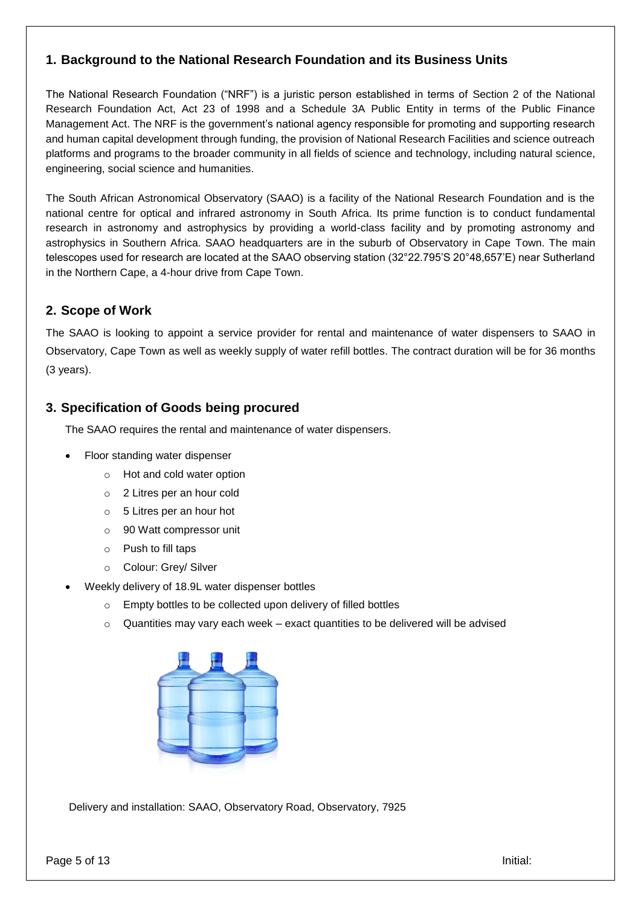# **1. Background to the National Research Foundation and its Business Units**

The National Research Foundation ("NRF") is a juristic person established in terms of Section 2 of the National Research Foundation Act, Act 23 of 1998 and a Schedule 3A Public Entity in terms of the Public Finance Management Act. The NRF is the government's national agency responsible for promoting and supporting research and human capital development through funding, the provision of National Research Facilities and science outreach platforms and programs to the broader community in all fields of science and technology, including natural science, engineering, social science and humanities.

The South African Astronomical Observatory (SAAO) is a facility of the National Research Foundation and is the national centre for optical and infrared astronomy in South Africa. Its prime function is to conduct fundamental research in astronomy and astrophysics by providing a world-class facility and by promoting astronomy and astrophysics in Southern Africa. SAAO headquarters are in the suburb of Observatory in Cape Town. The main telescopes used for research are located at the SAAO observing station (32°22.795'S 20°48,657'E) near Sutherland in the Northern Cape, a 4-hour drive from Cape Town.

# **2. Scope of Work**

The SAAO is looking to appoint a service provider for rental and maintenance of water dispensers to SAAO in Observatory, Cape Town as well as weekly supply of water refill bottles. The contract duration will be for 36 months (3 years).

# **3. Specification of Goods being procured**

The SAAO requires the rental and maintenance of water dispensers.

- Floor standing water dispenser
	- o Hot and cold water option
	- o 2 Litres per an hour cold
	- o 5 Litres per an hour hot
	- o 90 Watt compressor unit
	- o Push to fill taps
	- o Colour: Grey/ Silver
- Weekly delivery of 18.9L water dispenser bottles
	- o Empty bottles to be collected upon delivery of filled bottles
	- o Quantities may vary each week exact quantities to be delivered will be advised



Delivery and installation: SAAO, Observatory Road, Observatory, 7925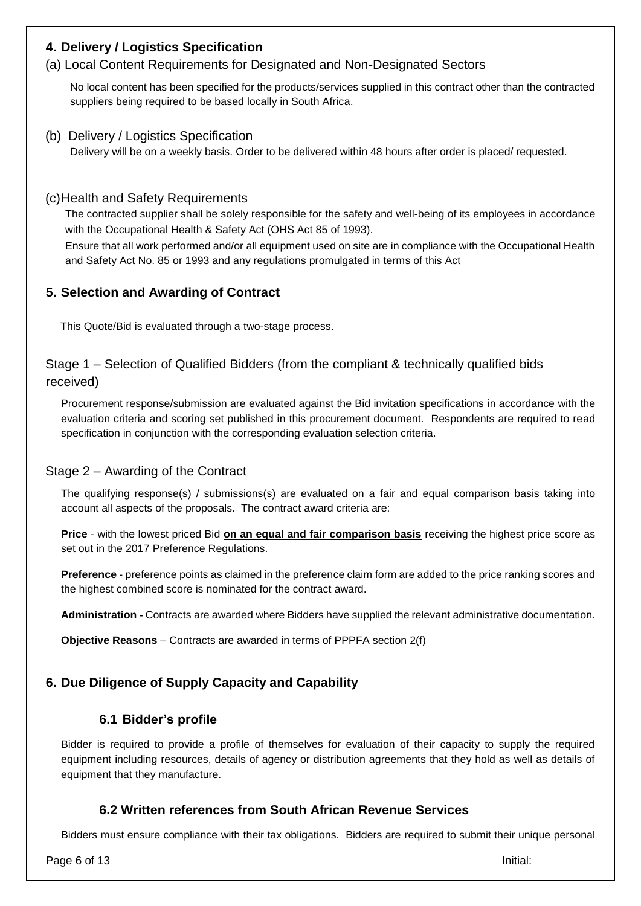# **4. Delivery / Logistics Specification**

## (a) Local Content Requirements for Designated and Non-Designated Sectors

No local content has been specified for the products/services supplied in this contract other than the contracted suppliers being required to be based locally in South Africa.

(b) Delivery / Logistics Specification Delivery will be on a weekly basis. Order to be delivered within 48 hours after order is placed/ requested.

#### (c)Health and Safety Requirements

The contracted supplier shall be solely responsible for the safety and well-being of its employees in accordance with the Occupational Health & Safety Act (OHS Act 85 of 1993).

Ensure that all work performed and/or all equipment used on site are in compliance with the Occupational Health and Safety Act No. 85 or 1993 and any regulations promulgated in terms of this Act

## **5. Selection and Awarding of Contract**

This Quote/Bid is evaluated through a two-stage process.

## Stage 1 – Selection of Qualified Bidders (from the compliant & technically qualified bids received)

Procurement response/submission are evaluated against the Bid invitation specifications in accordance with the evaluation criteria and scoring set published in this procurement document. Respondents are required to read specification in conjunction with the corresponding evaluation selection criteria.

#### Stage 2 – Awarding of the Contract

The qualifying response(s) / submissions(s) are evaluated on a fair and equal comparison basis taking into account all aspects of the proposals. The contract award criteria are:

**Price** - with the lowest priced Bid **on an equal and fair comparison basis** receiving the highest price score as set out in the 2017 Preference Regulations.

**Preference** - preference points as claimed in the preference claim form are added to the price ranking scores and the highest combined score is nominated for the contract award.

**Administration -** Contracts are awarded where Bidders have supplied the relevant administrative documentation.

**Objective Reasons** – Contracts are awarded in terms of PPPFA section 2(f)

# **6. Due Diligence of Supply Capacity and Capability**

## **6.1 Bidder's profile**

Bidder is required to provide a profile of themselves for evaluation of their capacity to supply the required equipment including resources, details of agency or distribution agreements that they hold as well as details of equipment that they manufacture.

## **6.2 Written references from South African Revenue Services**

Bidders must ensure compliance with their tax obligations. Bidders are required to submit their unique personal

Page 6 of 13 Initial: **Page 6 of 13**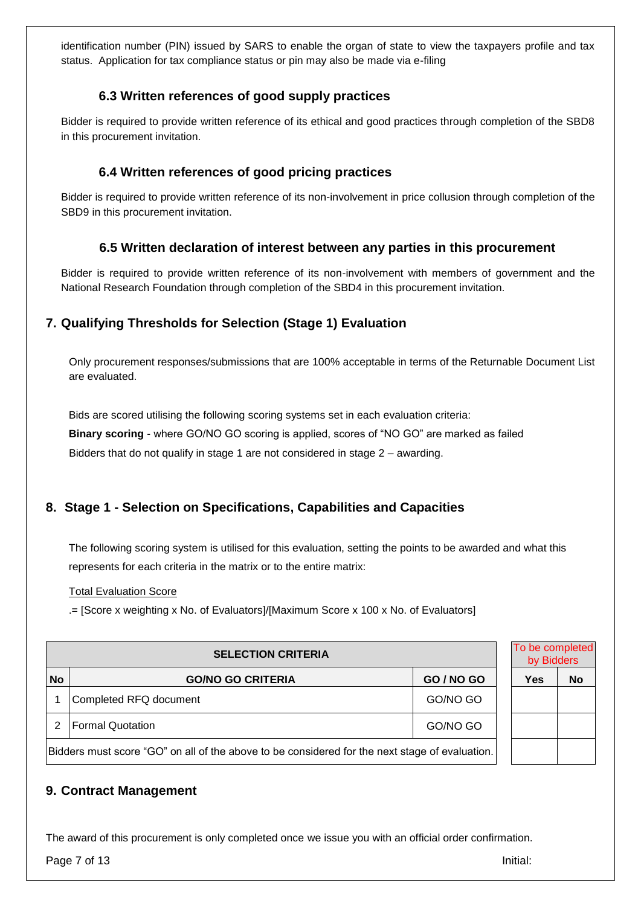identification number (PIN) issued by SARS to enable the organ of state to view the taxpayers profile and tax status. Application for tax compliance status or pin may also be made via e-filing

## **6.3 Written references of good supply practices**

Bidder is required to provide written reference of its ethical and good practices through completion of the SBD8 in this procurement invitation.

## **6.4 Written references of good pricing practices**

Bidder is required to provide written reference of its non-involvement in price collusion through completion of the SBD9 in this procurement invitation.

## **6.5 Written declaration of interest between any parties in this procurement**

Bidder is required to provide written reference of its non-involvement with members of government and the National Research Foundation through completion of the SBD4 in this procurement invitation.

# **7. Qualifying Thresholds for Selection (Stage 1) Evaluation**

Only procurement responses/submissions that are 100% acceptable in terms of the Returnable Document List are evaluated.

Bids are scored utilising the following scoring systems set in each evaluation criteria: **Binary scoring** - where GO/NO GO scoring is applied, scores of "NO GO" are marked as failed Bidders that do not qualify in stage 1 are not considered in stage 2 – awarding.

# **8. Stage 1 - Selection on Specifications, Capabilities and Capacities**

The following scoring system is utilised for this evaluation, setting the points to be awarded and what this represents for each criteria in the matrix or to the entire matrix:

Total Evaluation Score

.= [Score x weighting x No. of Evaluators]/[Maximum Score x 100 x No. of Evaluators]

| <b>SELECTION CRITERIA</b>                                                                      |                          |                   |  | To be completed<br>by Bidders |           |
|------------------------------------------------------------------------------------------------|--------------------------|-------------------|--|-------------------------------|-----------|
| <b>No</b>                                                                                      | <b>GO/NO GO CRITERIA</b> | <b>GO / NO GO</b> |  | Yes                           | <b>No</b> |
|                                                                                                | Completed RFQ document   | GO/NO GO          |  |                               |           |
| <b>Formal Quotation</b><br>GO/NO GO                                                            |                          |                   |  |                               |           |
| Bidders must score "GO" on all of the above to be considered for the next stage of evaluation. |                          |                   |  |                               |           |

## **9. Contract Management**

The award of this procurement is only completed once we issue you with an official order confirmation.

Page 7 of 13 Initial: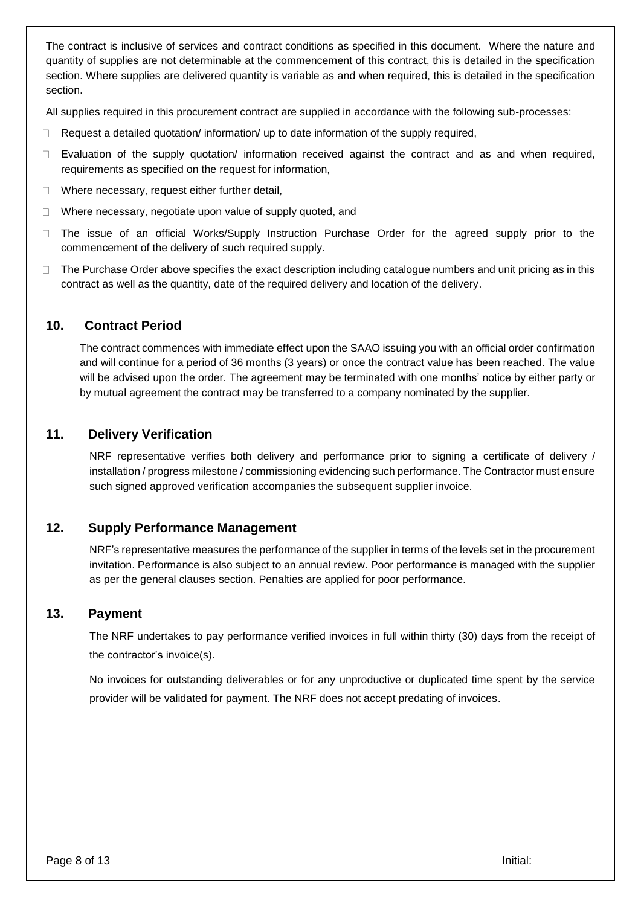The contract is inclusive of services and contract conditions as specified in this document. Where the nature and quantity of supplies are not determinable at the commencement of this contract, this is detailed in the specification section. Where supplies are delivered quantity is variable as and when required, this is detailed in the specification section.

All supplies required in this procurement contract are supplied in accordance with the following sub-processes:

- $\Box$ Request a detailed quotation/ information/ up to date information of the supply required,
- Evaluation of the supply quotation/ information received against the contract and as and when required,  $\Box$ requirements as specified on the request for information,
- Where necessary, request either further detail,  $\Box$
- Where necessary, negotiate upon value of supply quoted, and  $\Box$
- The issue of an official Works/Supply Instruction Purchase Order for the agreed supply prior to the  $\Box$ commencement of the delivery of such required supply.
- The Purchase Order above specifies the exact description including catalogue numbers and unit pricing as in this  $\Box$ contract as well as the quantity, date of the required delivery and location of the delivery.

#### **10. Contract Period**

The contract commences with immediate effect upon the SAAO issuing you with an official order confirmation and will continue for a period of 36 months (3 years) or once the contract value has been reached. The value will be advised upon the order. The agreement may be terminated with one months' notice by either party or by mutual agreement the contract may be transferred to a company nominated by the supplier.

### **11. Delivery Verification**

NRF representative verifies both delivery and performance prior to signing a certificate of delivery / installation / progress milestone / commissioning evidencing such performance. The Contractor must ensure such signed approved verification accompanies the subsequent supplier invoice.

### **12. Supply Performance Management**

NRF's representative measures the performance of the supplier in terms of the levels set in the procurement invitation. Performance is also subject to an annual review. Poor performance is managed with the supplier as per the general clauses section. Penalties are applied for poor performance.

#### **13. Payment**

The NRF undertakes to pay performance verified invoices in full within thirty (30) days from the receipt of the contractor's invoice(s).

No invoices for outstanding deliverables or for any unproductive or duplicated time spent by the service provider will be validated for payment. The NRF does not accept predating of invoices.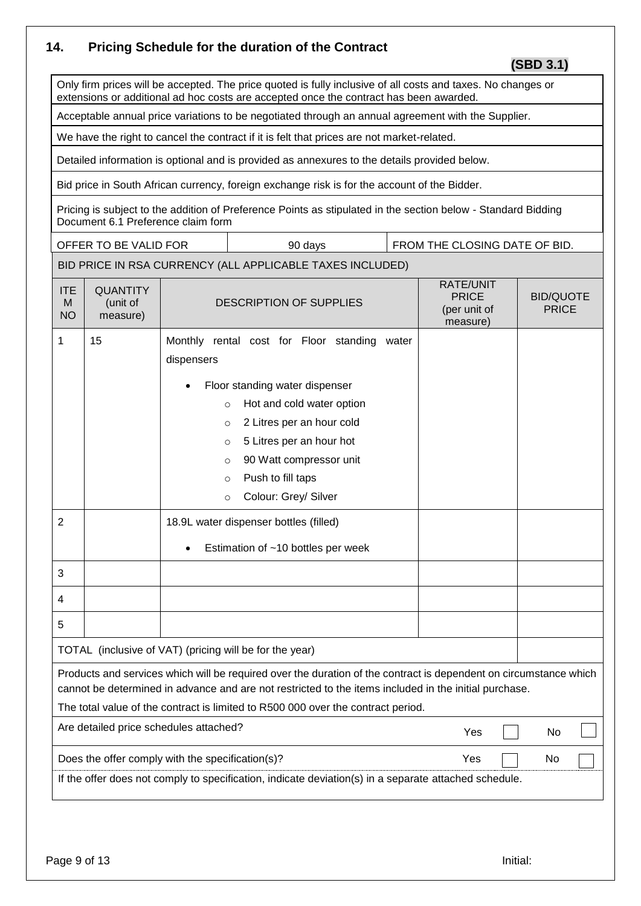# **14. Pricing Schedule for the duration of the Contract**

 **(SBD 3.1)**

Only firm prices will be accepted. The price quoted is fully inclusive of all costs and taxes. No changes or extensions or additional ad hoc costs are accepted once the contract has been awarded.

Acceptable annual price variations to be negotiated through an annual agreement with the Supplier.

We have the right to cancel the contract if it is felt that prices are not market-related.

Detailed information is optional and is provided as annexures to the details provided below.

Bid price in South African currency, foreign exchange risk is for the account of the Bidder.

Pricing is subject to the addition of Preference Points as stipulated in the section below - Standard Bidding Document 6.1 Preference claim form

OFFER TO BE VALID FOR  $\vert$  90 days  $\vert$  FROM THE CLOSING DATE OF BID.

# BID PRICE IN RSA CURRENCY (ALL APPLICABLE TAXES INCLUDED)

| <b>ITE</b><br>M<br><b>NO</b>                                                                                                                                                                                                                                                                                   | <b>QUANTITY</b><br>(unit of<br>measure)                                                               | <b>DESCRIPTION OF SUPPLIES</b>                                                                                                                                                                                                                               | <b>RATE/UNIT</b><br><b>PRICE</b><br>(per unit of<br>measure) | <b>BID/QUOTE</b><br><b>PRICE</b> |  |  |  |
|----------------------------------------------------------------------------------------------------------------------------------------------------------------------------------------------------------------------------------------------------------------------------------------------------------------|-------------------------------------------------------------------------------------------------------|--------------------------------------------------------------------------------------------------------------------------------------------------------------------------------------------------------------------------------------------------------------|--------------------------------------------------------------|----------------------------------|--|--|--|
| 1                                                                                                                                                                                                                                                                                                              | 15                                                                                                    | Monthly rental cost for Floor standing<br>water<br>dispensers<br>Floor standing water dispenser<br>Hot and cold water option<br>$\circ$<br>2 Litres per an hour cold<br>$\circ$<br>5 Litres per an hour hot<br>$\circ$<br>90 Watt compressor unit<br>$\circ$ |                                                              |                                  |  |  |  |
|                                                                                                                                                                                                                                                                                                                |                                                                                                       | Push to fill taps<br>$\Omega$<br>Colour: Grey/ Silver<br>$\circ$                                                                                                                                                                                             |                                                              |                                  |  |  |  |
| $\overline{2}$                                                                                                                                                                                                                                                                                                 |                                                                                                       | 18.9L water dispenser bottles (filled)<br>Estimation of ~10 bottles per week                                                                                                                                                                                 |                                                              |                                  |  |  |  |
| 3                                                                                                                                                                                                                                                                                                              |                                                                                                       |                                                                                                                                                                                                                                                              |                                                              |                                  |  |  |  |
| 4                                                                                                                                                                                                                                                                                                              |                                                                                                       |                                                                                                                                                                                                                                                              |                                                              |                                  |  |  |  |
| 5                                                                                                                                                                                                                                                                                                              |                                                                                                       |                                                                                                                                                                                                                                                              |                                                              |                                  |  |  |  |
|                                                                                                                                                                                                                                                                                                                | TOTAL (inclusive of VAT) (pricing will be for the year)                                               |                                                                                                                                                                                                                                                              |                                                              |                                  |  |  |  |
| Products and services which will be required over the duration of the contract is dependent on circumstance which<br>cannot be determined in advance and are not restricted to the items included in the initial purchase.<br>The total value of the contract is limited to R500 000 over the contract period. |                                                                                                       |                                                                                                                                                                                                                                                              |                                                              |                                  |  |  |  |
|                                                                                                                                                                                                                                                                                                                | Are detailed price schedules attached?<br>Yes<br>No                                                   |                                                                                                                                                                                                                                                              |                                                              |                                  |  |  |  |
|                                                                                                                                                                                                                                                                                                                | Does the offer comply with the specification(s)?<br>Yes<br>No                                         |                                                                                                                                                                                                                                                              |                                                              |                                  |  |  |  |
|                                                                                                                                                                                                                                                                                                                | If the offer does not comply to specification, indicate deviation(s) in a separate attached schedule. |                                                                                                                                                                                                                                                              |                                                              |                                  |  |  |  |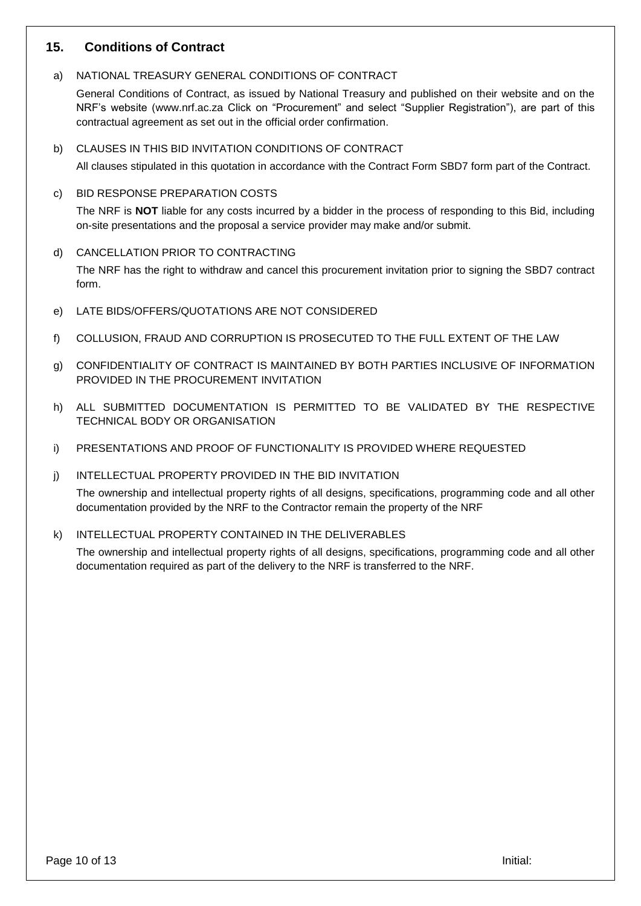## **15. Conditions of Contract**

a) NATIONAL TREASURY GENERAL CONDITIONS OF CONTRACT

General Conditions of Contract, as issued by National Treasury and published on their website and on the NRF's website [\(www.nrf.ac.za](http://www.nrf.ac.za/) Click on "Procurement" and select "Supplier Registration"), are part of this contractual agreement as set out in the official order confirmation.

b) CLAUSES IN THIS BID INVITATION CONDITIONS OF CONTRACT

All clauses stipulated in this quotation in accordance with the Contract Form SBD7 form part of the Contract.

c) BID RESPONSE PREPARATION COSTS

The NRF is **NOT** liable for any costs incurred by a bidder in the process of responding to this Bid, including on-site presentations and the proposal a service provider may make and/or submit.

- d) CANCELLATION PRIOR TO CONTRACTING The NRF has the right to withdraw and cancel this procurement invitation prior to signing the SBD7 contract form.
- e) LATE BIDS/OFFERS/QUOTATIONS ARE NOT CONSIDERED
- f) COLLUSION, FRAUD AND CORRUPTION IS PROSECUTED TO THE FULL EXTENT OF THE LAW
- g) CONFIDENTIALITY OF CONTRACT IS MAINTAINED BY BOTH PARTIES INCLUSIVE OF INFORMATION PROVIDED IN THE PROCUREMENT INVITATION
- h) ALL SUBMITTED DOCUMENTATION IS PERMITTED TO BE VALIDATED BY THE RESPECTIVE TECHNICAL BODY OR ORGANISATION
- i) PRESENTATIONS AND PROOF OF FUNCTIONALITY IS PROVIDED WHERE REQUESTED
- j) INTELLECTUAL PROPERTY PROVIDED IN THE BID INVITATION

The ownership and intellectual property rights of all designs, specifications, programming code and all other documentation provided by the NRF to the Contractor remain the property of the NRF

k) INTELLECTUAL PROPERTY CONTAINED IN THE DELIVERABLES

The ownership and intellectual property rights of all designs, specifications, programming code and all other documentation required as part of the delivery to the NRF is transferred to the NRF.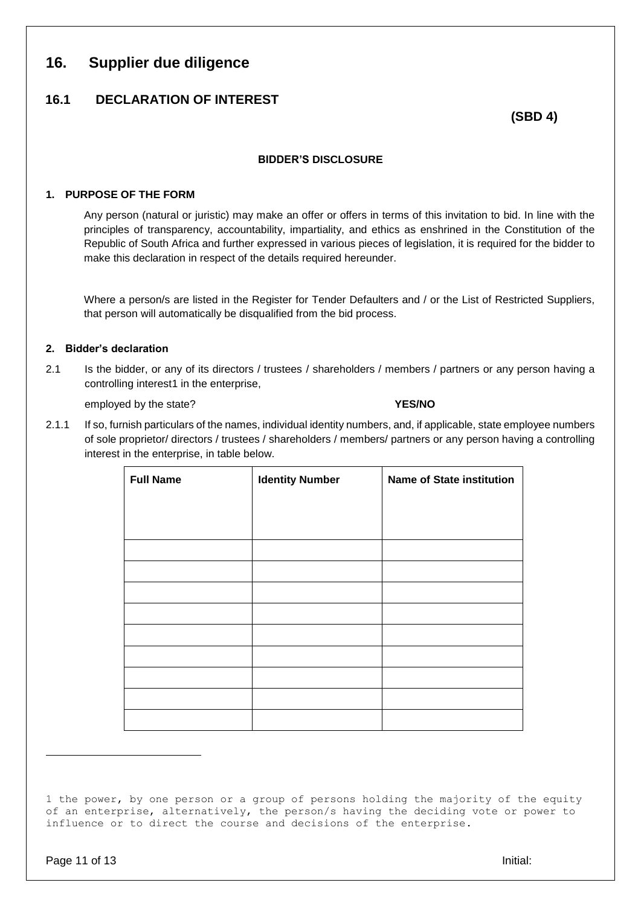# **16. Supplier due diligence**

# **16.1 DECLARATION OF INTEREST**

**(SBD 4)**

#### **BIDDER'S DISCLOSURE**

#### **1. PURPOSE OF THE FORM**

Any person (natural or juristic) may make an offer or offers in terms of this invitation to bid. In line with the principles of transparency, accountability, impartiality, and ethics as enshrined in the Constitution of the Republic of South Africa and further expressed in various pieces of legislation, it is required for the bidder to make this declaration in respect of the details required hereunder.

Where a person/s are listed in the Register for Tender Defaulters and / or the List of Restricted Suppliers, that person will automatically be disqualified from the bid process.

#### **2. Bidder's declaration**

2.1 Is the bidder, or any of its directors / trustees / shareholders / members / partners or any person having a controlling interest1 in the enterprise,

employed by the state? **YES/NO**

2.1.1 If so, furnish particulars of the names, individual identity numbers, and, if applicable, state employee numbers of sole proprietor/ directors / trustees / shareholders / members/ partners or any person having a controlling interest in the enterprise, in table below.

| <b>Full Name</b> | <b>Identity Number</b> | <b>Name of State institution</b> |
|------------------|------------------------|----------------------------------|
|                  |                        |                                  |
|                  |                        |                                  |
|                  |                        |                                  |
|                  |                        |                                  |
|                  |                        |                                  |
|                  |                        |                                  |
|                  |                        |                                  |
|                  |                        |                                  |
|                  |                        |                                  |
|                  |                        |                                  |
|                  |                        |                                  |

 $\overline{a}$ 

<sup>1</sup> the power, by one person or a group of persons holding the majority of the equity of an enterprise, alternatively, the person/s having the deciding vote or power to influence or to direct the course and decisions of the enterprise.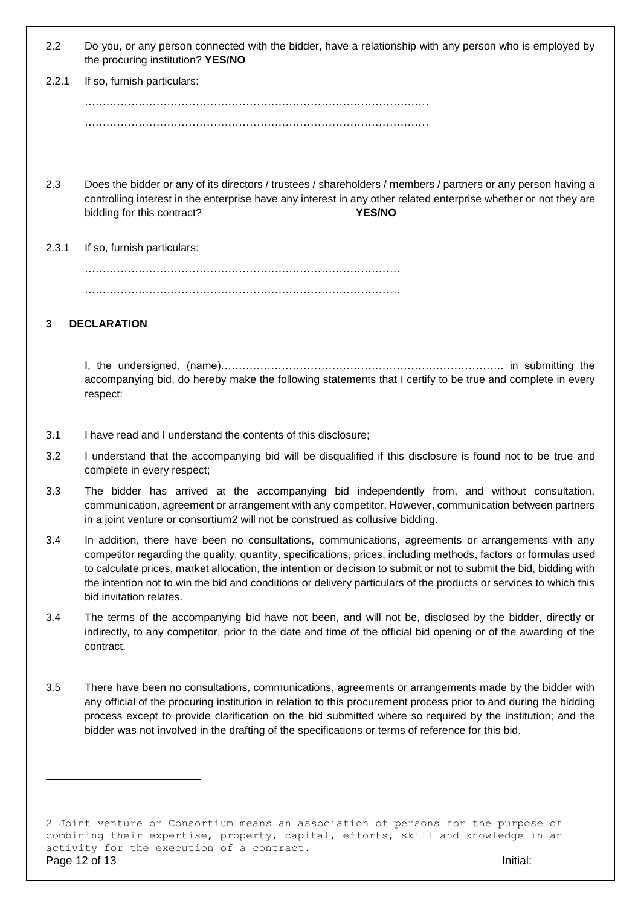| 2.2 | Do you, or any person connected with the bidder, have a relationship with any person who is employed by |
|-----|---------------------------------------------------------------------------------------------------------|
|     | the procuring institution? YES/NO                                                                       |

| 2.2.1 | If so, furnish particulars: |
|-------|-----------------------------|
|       |                             |
|       |                             |

- 2.3 Does the bidder or any of its directors / trustees / shareholders / members / partners or any person having a controlling interest in the enterprise have any interest in any other related enterprise whether or not they are bidding for this contract? **YES/NO**
- 2.3.1 If so, furnish particulars:

 $\mathcal{L}^{(n)}$ …………………………………………………………………………….

#### **3 DECLARATION**

I, the undersigned, (name)……………………………………………………………………. in submitting the accompanying bid, do hereby make the following statements that I certify to be true and complete in every respect:

- 3.1 I have read and I understand the contents of this disclosure;
- 3.2 I understand that the accompanying bid will be disqualified if this disclosure is found not to be true and complete in every respect;
- 3.3 The bidder has arrived at the accompanying bid independently from, and without consultation, communication, agreement or arrangement with any competitor. However, communication between partners in a joint venture or consortium2 will not be construed as collusive bidding.
- 3.4 In addition, there have been no consultations, communications, agreements or arrangements with any competitor regarding the quality, quantity, specifications, prices, including methods, factors or formulas used to calculate prices, market allocation, the intention or decision to submit or not to submit the bid, bidding with the intention not to win the bid and conditions or delivery particulars of the products or services to which this bid invitation relates.
- 3.4 The terms of the accompanying bid have not been, and will not be, disclosed by the bidder, directly or indirectly, to any competitor, prior to the date and time of the official bid opening or of the awarding of the contract.
- 3.5 There have been no consultations, communications, agreements or arrangements made by the bidder with any official of the procuring institution in relation to this procurement process prior to and during the bidding process except to provide clarification on the bid submitted where so required by the institution; and the bidder was not involved in the drafting of the specifications or terms of reference for this bid.

Page 12 of 13 Initial: 2 Joint venture or Consortium means an association of persons for the purpose of combining their expertise, property, capital, efforts, skill and knowledge in an activity for the execution of a contract.